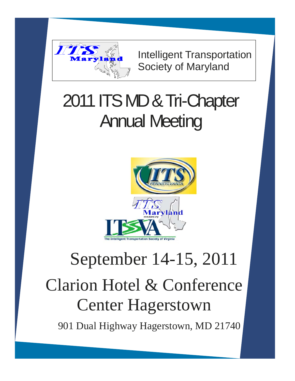

Intelligent Transportation Society of Maryland

## 2011 ITS MD & Tri-Chapter Annual Meeting



# Clarion Hotel & Conference Center Hagerstown September 14-15, 2011

901 Dual Highway Hagerstown, MD 21740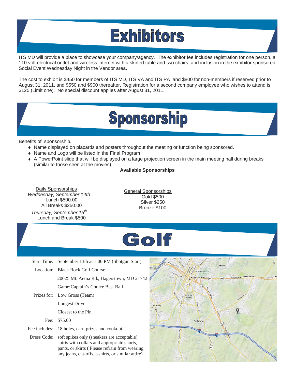## **Exhibitors**

ITS MD will provide a place to showcase your company/agency. The exhibitor fee includes registration for one person, a 110 volt electrical outlet and wireless internet with a skirted table and two chairs, and inclusion in the exhibitor sponsored Social Event Wednesday Night in the Vendor area.

The cost to exhibit is \$450 for members of ITS MD, ITS VA and ITS PA and \$800 for non-members if reserved prior to August 31, 2011, and \$550 and \$900 thereafter. Registration for a second company employee who wishes to attend is \$125 (Limit one). No special discount applies after August 31, 2011.

### **Sponsorship**

Benefits of sponsorship.

- Name displayed on placards and posters throughout the meeting or function being sponsored.
- ◆ Name and Logo will be listed in the Final Program
- A PowerPoint slide that will be displayed on a large projection screen in the main meeting hall during breaks (similar to those seen at the movies).

#### **Available Sponsorships**

Daily Sponsorships *Wednesday, September 14th*  Lunch \$500.00 All Breaks \$250.00

*Thursday, September 15th* Lunch and Break \$500

General Sponsorships Gold \$500 Silver \$250 Bronze \$100



Start Time: September 13th at 1:00 PM (Shotgun Start)

Location: Black Rock Golf Course

20025 Mt. Aetna Rd., Hagerstown, MD 21742 Game: Captain's Choice Best Ball

 Prizes for: Low Gross (Team) Longest Drive

Closest to the Pin

Fee: \$75.00

Fee includes: 18 holes, cart, prizes and cookout

 Dress Code: soft spikes only (sneakers are acceptable), shirts with collars and appropriate shorts, pants, or skirts ( Please refrain from wearing any jeans, cut-offs, t-shirts, or similar attire)